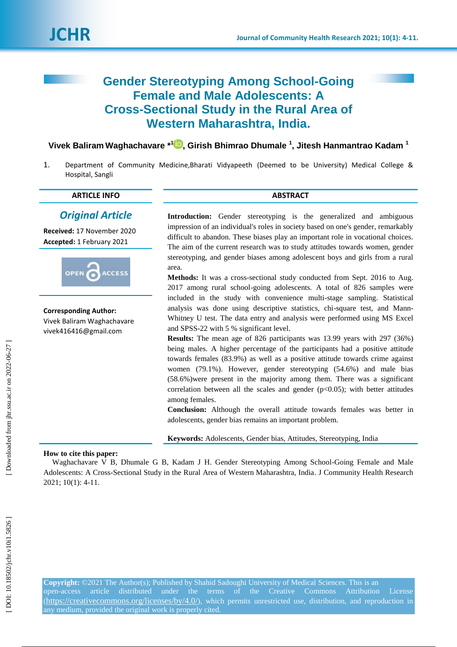# **Gender Stereotyping Among School -Going Female and Male Adolescents: A Cross -Sectional Study in the Rural Area of Western Maharashtra, India .**

**Vivek Baliram Waghachavare \* [1](https://orcid.org/0000-0002-2583-4525) , Girish Bhimrao Dhumale 1 , Jitesh Hanmantrao Kadam 1**

1 . Department of Community Medicine,Bharati Vidyapeeth (Deemed to be University ) Medical College & Hospital, Sangli

## **ARTICLE INFO ABSTRACT**

## *Original Article*

**Received:** 17 November 2020 **Accepted:** 1 February 202 1



**Corresponding Author:** Vivek Baliram Waghachavare vivek416416@gmail.com

Introduction: Gender stereotyping is the generalized and ambiguous impression of an individual's roles in society based on one's gender, remarkably difficult to abandon. These biases play an important role in vocational choices. The aim of the current research was to study attitudes towards women, gender stereotyping, and gender biases among adolescent boys and girls from a rural area.

**Methods:** It was a cross -sectional study conducted from Sept. 2016 to Aug. 2017 among rural school -going adolescents. A total of 826 samples were included in the study with convenience multi -stage sampling. Statistical analysis was done using descriptive statistics, chi -square test, and Mann - Whitney U test. The data entry and analysis were performed using MS Excel and SPSS -22 with 5 % significant level.

**Results:** The mean age of 826 participants was 13.99 years with 297 (36%) being males. A higher percentage of the participants had a positive attitude towards females (83.9%) as well as a positive attitude towards crime against women (79.1%). However, gender stereotyping (54.6%) and male bias (58.6%)were present in the majority among them. There was a significant correlation between all the scales and gender  $(p<0.05)$ ; with better attitudes among females.

**Conclusion:** Although the overall attitude towards females was better in adolescents, gender bias remains an important problem.

**Keywords:** Adolescents, Gender bias, Attitudes, Stereotyping, India

## **How to cite this paper:**

Waghachavare V B, Dhumale G B, Kadam J H. Gender Stereotyping Among School-Going Female and Male Adolescents: A Cross -Sectional Study in the Rural Area of Western Maharashtra, India. J Community Health Research 202 1; 10 ( 1): 4 -11 .

**Copyright:** ©202 1 The Author(s); Published by Shahid Sadoughi University of Medical Sciences. This is an open -access article distributed under the terms of the Creative Commons Attribution License (<https://creativecommons.org/licenses/by/4.0/>), which permits unrestricted use, distribution, and reproduction in any medium, provided the original work is properly cited.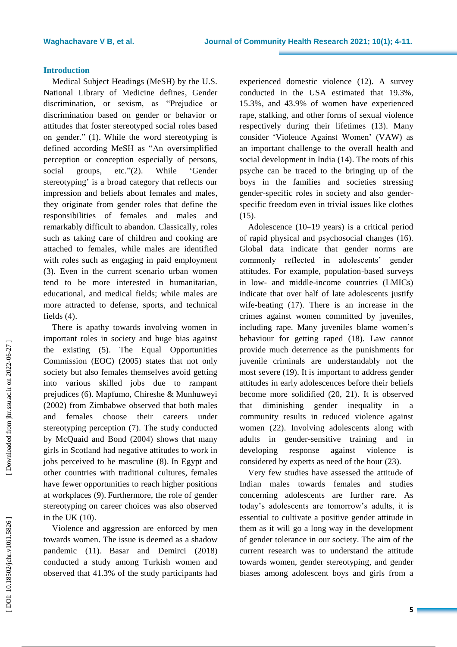## **Introduction**

Medical Subject Headings (MeSH) by the U.S. National Library of Medicine defines , Gender discrimination, or sexism, as "Prejudice or discrimination based on gender or behavior or attitudes that foster stereotyped social roles based on gender." (1). While the word stereotyping is defined according MeSH as "An oversimplified perception or conception especially of persons, social groups,  $"(2)$ . While ‗Gender stereotyping ' is a broad category that reflects our impression and beliefs about females and males, they originate from gender roles that define the responsibilities of females and males and remarkably difficult to abandon. Classically , roles such as taking care of children and cooking are attached to females, while males are identified with roles such as engaging in paid employment (3). Even in the current scenario urban women tend to be more interested in humanitarian, educational , and medical fields; while males are more attracted to defense, sports , and technical fields (4).

There is apathy towards involving women in important roles in society and huge bias against the existing ( 5 ) . The Equal Opportunities Commission (EOC ) (2005) states that not only society but also females themselves avoid getting into various skilled jobs due to rampant prejudices ( 6 ) . Mapfumo, Chireshe & Munhuweyi (200 2 ) from Zimbabwe observed that both males and females choose their career s under stereotyping perception ( 7 ) . The study conducted by McQuaid and Bond (2004) shows that many girls in Scotland had negative attitudes to work in jobs perceived to be masculine ( 8). In Egypt and other countries with traditional cultures, females have fewer opportunities to reach higher positions at workplaces ( 9). Furthermore, the role of gender stereotyping on career choices was also observed in the UK (10).

Violence and aggression are enforced by men towards women. The issue is deemed as a shadow pandemic (11). Basar and Demirci (2018) conducted a study among Turkish women and observed that 41.3% of the study participants had

experienced domestic violence (12). A survey conducted in the USA estimated that 19.3%, 15.3% , and 43.9% of women have experienced rape, stalking , and other forms of sexual violence respectively during their lifetimes (13). Many consider ‗Violence Against Women' (VAW) as an important challenge to the overall health and social development in India (14). The roots of this psyche can be traced to the bringing up of the boys in the families and societies stressing gender -specific roles in society and also gender specific freedom even in trivial issues like clothes (15).

Adolescence (10 –19 years) is a critical period of rapid physical and psychosocial changes (16). Global data indicate that gender norms are commonly reflected in adolescents' gender attitudes. For example, population -based surveys in low - and middle -income countries (LMICs) indicate that over half of late adolescents justify wife -beating (17). There is an increase in the crimes against women committed by juveniles , including rape. Many juvenile s blame women ' s behavio ur for getting rape d (18). Law cannot provide much deterrence as the punishments for juvenile criminals are understandably not the most severe (19). It is important to address gender attitudes in early adolescences before their beliefs become more solidified (20, 21). It is observed that diminishing gender inequality in community results in reduced violence against women (22). Involving adolescents along with adults in gender -sensitive training and in developing response against violence is considered by experts as need of the hour (23).

Very few studies have assessed the attitude of Indian males towards females and studies concerning adolescents are further rare. As today's adolescents are tomorrow's adults, it is essential to cultivate a positive gender attitude in them as it will go a long way in the development of gender tolerance in our society. The aim of the current research was to understand the attitude towards women, gender stereotyping , and gender biases among adolescent boys and girls from a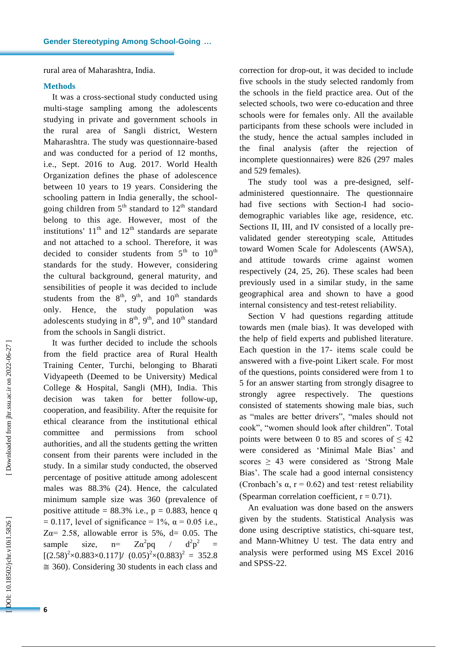rural area of Maharashtra, India .

## **Methods**

It was a cross -sectional study conducted using multi -stage sampling among the adolescents studying in private and government schools in the rural area of Sangli district, Western Maharashtra. The study was questionnaire -based and was conducted for a period of 12 months, i.e., Sept. 2016 to Aug. 2017. World Health Organization defines the phase of adolescence between 10 years to 19 years. Considering the schooling pattern in India generally , the school going children from  $5<sup>th</sup>$  standard to  $12<sup>th</sup>$  standard belong to this age. However, most of the institutions'  $11<sup>th</sup>$  and  $12<sup>th</sup>$  standards are separate and not attached to a school. Therefore, it was decided to consider students from  $5<sup>th</sup>$  to  $10<sup>th</sup>$ standard s for the study. However, considering the cultural background, general maturity , and sensibilities of people it was decided to include students from the  $8<sup>th</sup>$ ,  $9<sup>th</sup>$ , and  $10<sup>th</sup>$  standards only. Hence, the study population was adolescents studying in  $8<sup>th</sup>$ ,  $9<sup>th</sup>$ , and  $10<sup>th</sup>$  standard from the schools in Sangli district.

It was further decided to include the schools from the field practice are a of Rural Health Training Center, Turchi , belonging to Bharati Vidyapeeth (Deemed to be University ) Medical College & Hospital, Sangli (MH), India. This decision was taken for better follow -up, cooperation , and feasibility. After the requisite for ethical clearance from the institutional ethical committee and permissions from school authorities , and all the students getting the written consent from their parents were included in the study. In a similar study conducted , the observed percentage of positive attitude among adolescent males was 88.3% (24). Hence, the calculated minimum sample size was 360 ( prevalence of positive attitude =  $88.3\%$  i.e.,  $p = 0.883$ , hence q  $= 0.117$ , level of significance  $= 1\%$ ,  $\alpha = 0.05$  i.e.,  $Z\alpha = 2.58$ , allowable error is 5%, d= 0.05. The sample size,  $n=$  $Z\alpha^2$ pq  $\frac{1}{2}$  $^{2}p^{2}$ =  $[(2.58)^{2} \times 0.883 \times 0.117] / (0.05)^{2} \times (0.883)^{2} = 352.8$  $\approx$  360). Considering 30 students in each class and

correction for drop -out, it was decided to include five schools in the study selected randomly from the schools in the field practice area . Out of the selected schools , two were co -education and three schools were for females only. All the available participants from these schools were included in the study, hence the actual samples included in the final analysis (after the rejection of incomplete questionnaires) were 826 (297 males and 529 females).

The study tool was a pre -designed, self administered questionnaire. The questionnaire had five sections with Section-I had sociodemographic variables like age, residence , etc. Sections II, III, and IV consisted of a locally prevalidated gender stereotyping scale, Attitudes toward Women Scale for Adolescents (AWSA) , and attitude towards crime against women respectively (24, 25, 26). These scales had been previously used in a similar study , in the same geographical area and shown to have a good internal consistency and test -retest reliability.

Section V had questions regarding attitude towards men ( male bias). It was developed with the help of field experts and published literature. Each question in the 17 - items scale could be answered with a five -point Likert scale. For most of the questions , points considered were from 1 to 5 for an answer starting from strongly disagree to strongly agree respectively. The questions consisted of statements showing male bias, such as "males are better drivers", "males should not cook", "women should look after children". Total points were between 0 to 85 and scores of  $\leq 42$ were considered as 'Minimal Male Bias' and scores  $\geq$  43 were considered as 'Strong Male Bias '. The scale had a good internal consistency (Cronbach's  $\alpha$ ,  $r = 0.62$ ) and test-retest reliability (Spearman correlation coefficient,  $r = 0.71$ ).

An evaluation was done based on the answers given by the students. Statistical Analysis was done using descriptive statistics, chi-square test, and Mann -Whitney U test. The data entry and analysis were performed using MS Excel 2016 and SPSS -22 .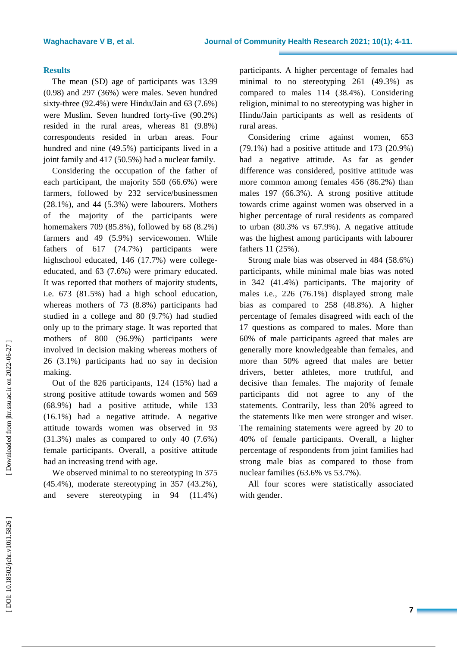## **Results**

The mean (SD) age of participants was 13.99 (0.98) and 297 (3 6%) were males . Seven hundred sixty -three (92.4% ) were Hindu/Jain and 63 (7.6% ) were Muslim. Seven hundred forty -five (90.2% ) resided in the rural areas , whereas 81 (9.8% ) correspondents resided in urban areas. Four hundred and nine (49.5%) participants lived in a joint family and 417 (50.5%) had a nuclear family.

Considering the occupation of the father of each participant , the majority 550 (66.6%) were farmers, followed by 232 service /businessmen (28.1%) , and 44 (5.3%) were labourers. Mother s of the majority of the participants were homemakers 709 (85.8%), followed by 68 (8. 2%) farmers and 49 (5.9%) servicewomen. While father s of 617 (74.7%) participants were highschool educated, 146 (17.7%) were college educated, and 63 (7.6%) were primary educated. It was reported that mother s of majority students , i.e. 673 (81. 5%) had a high school education, whereas mother s of 73 (8.8%) participants had studied in a college and 80 (9. 7%) had studied only up to the primary stage. It was reported that mothers of 800 (96.9%) participants were involved in decision making whereas mothers of 26 (3.1%) participants had no say in decision making.

Out of the 826 participants, 124 (15%) had a strong positive attitude towards women and 569 (68.9%) had a positive attitude, while 133 (16.1%) had a negative attitude. A negative attitude towards women was observed in 93 (31.3%) males as compared to only 40 (7.6%) female participants. Overall , a positive attitude had an increasing trend with age.

We observed minimal to no stereotyping in 375 (45.4%), moderate stereotyping in 357 (43.2%) , and severe stereotyping in 94 (11.4%) participants. A higher percentage of females had minimal to no stereotyping 261 (49.3%) as compared to males 114 (38.4%). Considering religion, minimal to no stereotyping was higher in Hindu/Jain participants as well as residents of rural area s .

Considering crime against women, 653  $(79.1\%)$  had a positive attitude and 173  $(20.9\%)$ had a negative attitude . As far as gender difference was considered, positive attitude was more common among females 456 (86.2%) than males 197 (66.3%). A strong positive attitude towards crime against women was observed in a higher percentage of rural residents as compared to urban (80.3% vs 67.9%). A negative attitude was the highest among participants with labourer fathers 11 (25%) .

**-11.**<br>
had as ing grind as in the set of 653 9%) and the set of 653 9%) and the area during a radius than are during the set of the and the area and the set of had to set had in a radius of had in  $\alpha$  rom atted  $\alpha$  rom Strong male bias was observed in 484 (58.6%) participants, while minimal male bias was noted in 342 (41.4%) participants. The majority of males i.e. , 226 (76.1%) displayed strong male bias as compared to 258 (48.8%). A higher percentage of females disagreed with each of the 17 questions as compared to males. More than 60% of male participants agreed that males are generally more knowledgeable than females, and more than 50% agreed that males are better drivers, better athletes, more truthful, and decisive than females. The majority of female participants did not agree to any of the statement s. Contrarily, less than 20% agreed to the statements like men were stronger and wiser. The remaining statement s were agreed by 20 to 40% of female participants. Overall, a higher percentage of respondents from joint families had strong male bias as compared to those from nuclear families (63.6% vs 53.7%).

All four scores were statistically associated with gender .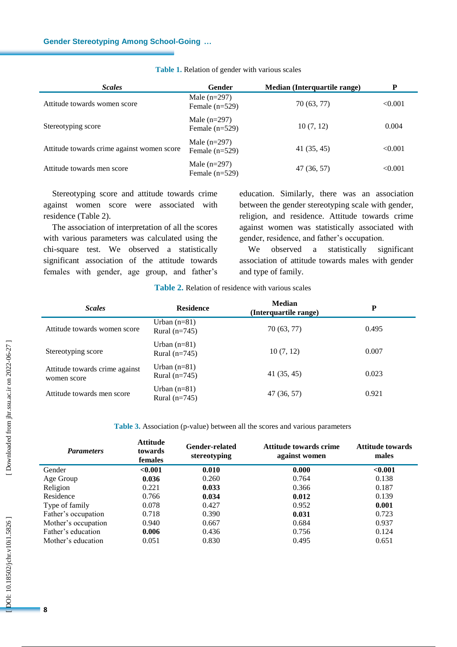| <b>Scales</b>                              | Gender                             | Median (Interquartile range) | P       |
|--------------------------------------------|------------------------------------|------------------------------|---------|
| Attitude towards women score               | Male $(n=297)$<br>Female $(n=529)$ | 70 (63, 77)                  | < 0.001 |
| Stereotyping score                         | Male $(n=297)$<br>Female $(n=529)$ | 10(7, 12)                    | 0.004   |
| Attitude towards crime against women score | Male $(n=297)$<br>Female $(n=529)$ | 41(35, 45)                   | < 0.001 |
| Attitude towards men score                 | Male $(n=297)$<br>Female $(n=529)$ | 47 (36, 57)                  | < 0.001 |

### **Table 1 .** Relation of gender with various scales

Stereotyping score and attitude towards crime against women score were associated with residence (Table 2) .

The association of interpretation of all the scores with various parameters was calculated using the chi -square test. We observed a statistically significant association of the attitude towards females with gender, age group, and father's

education. Similarly, there was an association between the gender stereotyping scale with gender, religion, and residence. Attitude towards crime against women was statistically associated with gender, residence, and father's occupation.

We observed a statistically significant association of attitude towards males with gender and type of family.

## **Table 2 .** Relation of residence with various scales

| <b>Scales</b>                                 | <b>Residence</b>                  | <b>Median</b><br>(Interquartile range) | P     |  |
|-----------------------------------------------|-----------------------------------|----------------------------------------|-------|--|
| Attitude towards women score                  | Urban $(n=81)$<br>Rural $(n=745)$ | 70 (63, 77)                            | 0.495 |  |
| Stereotyping score                            | Urban $(n=81)$<br>Rural $(n=745)$ | 10(7, 12)                              | 0.007 |  |
| Attitude towards crime against<br>women score | Urban $(n=81)$<br>Rural $(n=745)$ | 41(35, 45)                             | 0.023 |  |
| Attitude towards men score                    | Urban $(n=81)$<br>Rural $(n=745)$ | 47 (36, 57)                            | 0.921 |  |

## **Table 3 .** Association (p -value) between all the scores and various parameters

| <b>Parameters</b>   | <b>Attitude</b><br>towards<br>females | <b>Gender-related</b><br>stereotyping | Attitude towards crime<br>against women | Attitude towards<br>males |
|---------------------|---------------------------------------|---------------------------------------|-----------------------------------------|---------------------------|
| Gender              | < 0.001                               | 0.010                                 | 0.000                                   | < 0.001                   |
| Age Group           | 0.036                                 | 0.260                                 | 0.764                                   | 0.138                     |
| Religion            | 0.221                                 | 0.033                                 | 0.366                                   | 0.187                     |
| Residence           | 0.766                                 | 0.034                                 | 0.012                                   | 0.139                     |
| Type of family      | 0.078                                 | 0.427                                 | 0.952                                   | 0.001                     |
| Father's occupation | 0.718                                 | 0.390                                 | 0.031                                   | 0.723                     |
| Mother's occupation | 0.940                                 | 0.667                                 | 0.684                                   | 0.937                     |
| Father's education  | 0.006                                 | 0.436                                 | 0.756                                   | 0.124                     |
| Mother's education  | 0.051                                 | 0.830                                 | 0.495                                   | 0.651                     |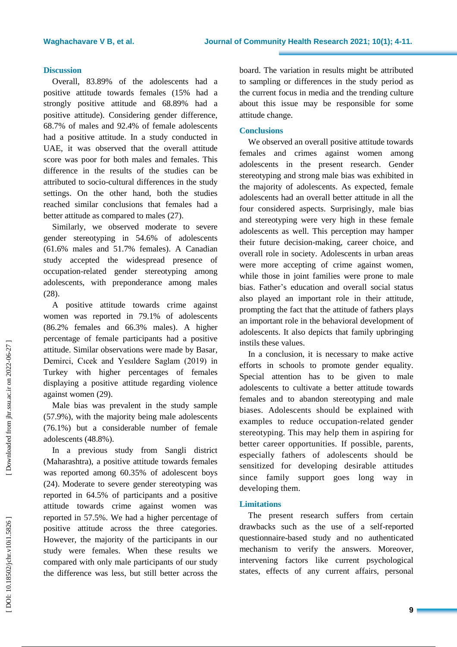## **Discussion**

Overall, 83.89% of the adolescents had a positive attitude towards females (15% had a strongly positive attitude and 68.89% had a positive attitude) . Considering gender difference, 68.7% of males and 92.4% of female adolescents had a positive attitude. In a study conducted in UAE, it was observed that the overall attitude score was poor for both males and females. This difference in the results of the studies can be attributed to socio -cultural differences in the study setting s . On the other hand, both the studies reached similar conclusions that females had a better attitude as compared to males (27 ) .

Similarly, w e observed moderate to severe gender stereotyping in 54.6% of adolescents (61.6% males and 51.7% females) . A Canadian study accepted the widespread presence of occupation -related gender stereotyping among adolescents, with preponderance among males (28) .

A positive attitude towards crime against women was reported in 79.1% of adolescents (86.2% females and 66.3% males). A higher percentage of female participants had a positive attitude. Similar observations were made by Basar, Demirci, Cıcek and Yesıldere Saglam (2019) in Turkey with higher percentages of females displaying a positive attitude regarding violence against women (29) .

Male bias was prevalent in the study sample (5 7 . 9%), with the majority being male adolescents (76.1%) but a considerable number of female adolescents (48.8%).

In a previous study from Sangli district (Maharashtra), a positive attitude towards females was reported among 60.35% of adolescent boys (24) . Moderate to severe gender stereotyping was reported in 64.5% of participants and a positive attitude towards crime against women was reported in 57.5%. We had a higher percentage of positive attitude across the three categories. However, the majority of the participants in our study were females . When these results we compared with only male participants of our study the difference was less, but still better across the

board. The variation in results might be attributed to sampling or difference s in the study period as the current focus in media and the trending culture about this issue may be responsible for some attitude change.

## **Conclusions**

**-11.**<br>uted das lune<br>uted das lune<br>das lune<br>ome ards and lune<br>ards in male and lune<br>ards male and male and male and male and male and in the bias<br>in the simular of the simular stated wer, be des in thain the dated wer, gic We observed an overall positive attitude towards females and crime s against women among adolescents in the present research. Gender stereotyping and strong male bias was exhibited in the majority of adolescents. As expected , female adolescents had an overall better attitude in all the four considered aspects . Surprisingly, male bias and stereotyping were very high in these female adolescents as well. This perception may hamper their future decision -making, career choice , and overall role in society. Adolescents in urban areas were more accepting of crime against women, while those in joint families were prone to male bias. Father 's education and overall social status also played an important role in their attitude, prompting the fact that the attitude of father s plays an important role in the behavioral development of adolescents. It also depicts that family upbringing instils these values.

In a conclusion, it is necessary to make active efforts in schools to promote gender equality. Special attention has to be given to male adolescents to cultivate a better attitude towards female s and to abandon stereotyping and male biases. Adolescents should be explained with examples to reduce occupation-related gender stereotyping. This may help them in aspiring for better career opportunities. If possible , parents , especially fathers of adolescents should be sensitized for developing desirable attitudes since family support goes long way in developing them.

## **Limitations**

The present research suffers from certain drawbacks such as the use of a self -reported questionnaire -based study and no authenticated mechanism to verify the answers. Moreover, intervening factors like current psychological state s, effect s of any current affairs, personal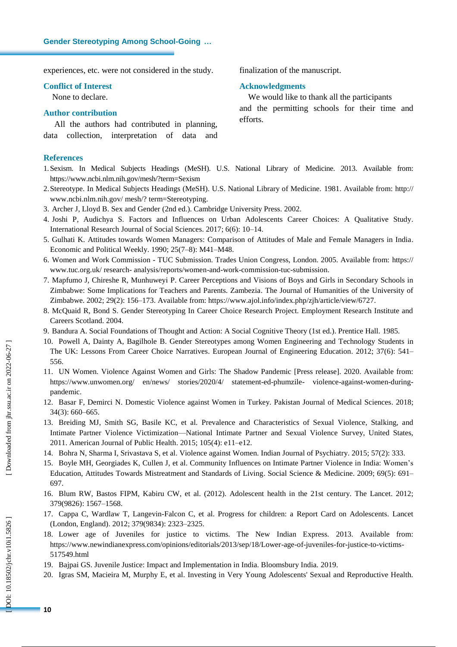experiences , etc. were not considered in the study .

### **Conflict of Interest**

None to declare.

## **Author contribution**

All the authors had contributed in planning, data collection, interpretation of data and

## **References**

1.Sexism. In Medical Subjects Headings (MeSH). U.S. National Library of Medicine. 2013. Available from: https://www.ncbi.nlm.nih.gov/mesh/?term=Sexism

- 2 .Stereotype. In Medical Subjects Headings (MeSH). U.S. National Library of Medicine. 1981. Available from: http:// www.ncbi.nlm.nih.gov/ mesh/? term=Stereotyping .
- 3 . Archer J, Lloyd B. Sex and Gender (2nd ed.). Cambridge University Press. 2002.
- 4 . Joshi P, Audichya S. Factors and Influences on Urban Adolescents Career Choices: A Qualitative Study. International Research Journal of Social Sciences. 2017 ; 6(6): 10 –14.
- 5 . Gulhati K. Attitudes towards Women Managers: Comparison of Attitudes of Male and Female Managers in India. Economic and Political Weekly. 1990; 25(7–8): M41–M48.
- 6 . Women and Work Commission TUC Submission. Trades Union Congress, London. 2005. Available from: https:// www.tuc.org.uk/ research - analysis/reports/women -and -work -commission -tuc -submission .
- 7 . Mapfumo J, Chireshe R, Munhuweyi P. Career Perceptions and Visions of Boys and Girls in Secondary Schools in Zimbabwe: Some Implications for Teachers and Parents. Zambezia . The Journal of Humanities of the University of Zimbabwe. 2002; 29(2): 156–173. Available from: https://www.ajol.info/index.php/zjh/article/view/6727.
- 8 . McQuaid R, Bond S. Gender Stereotyping In Career Choice Research Project. Employment Research Institute and Careers Scotland. 2004 .
- 9 . Bandura A. Social Foundations of Thought and Action: A Social Cognitive Theory (1st ed.). Prentice Hall. 1985.
- 10 . Powell A, Dainty A, Bagilhole B. Gender Stereotypes among Women Engineering and Technology Students in The UK: Lessons From Career Choice Narratives. European Journal of Engineering Education. 2012; 37(6) : 541 – 556.
- 11 . UN Women. Violence Against Women and Girls: The Shadow Pandemic [Press release]. 2020. Available from: https://www.unwomen.org/ en/news/ stories/2020/4/ statement-ed-phumzile- violence-against-women-duringpandemic .
- 12 . Basar F, Demirci N. Domestic Violence against Women in Turkey. Pakistan Journal of Medical Sciences. 2018; 34(3): 660 –665.
- 13 . Breiding MJ, Smith SG, Basile KC, et al. Prevalence and Characteristics of Sexual Violence, Stalking, and Intimate Partner Violence Victimization—National Intimate Partner and Sexual Violence Survey, United States, 2011. American Journal of Public Health. 2015; 105(4) : e11 –e12.
- 14. Bohra N, Sharma I, Srivastava S, et al. Violence against Women. Indian Journal of Psychiatry. 2015; 57(2): 333.
- 15 . Boyle MH, Georgiades K, Cullen J, et al. Community Influences on Intimate Partner Violence in India: Women's Education, Attitudes Towards Mistreatment and Standards of Living. Social Science & Medicine. 2009; 69(5): 691 – 697.
- 16 . Blum R W, Bastos FIPM, Kabiru CW, et al. (2012). Adolescent health in the 21st century. The Lancet. 2012; 379(9826) : 1567 –1568.
- 17 . Cappa C, Wardlaw T, Langevin -Falcon C, et al. Progress for children: a Report Card on Adolescents. Lancet (London, England). 2012; 379(9834): 2323 –2325.
- 18 . Lower age of Juveniles for justice to victims. The New Indian Express. 2013. Available from: https://www.newindianexpress.com/opinions/editorials/2013/sep/18/Lower-age-of-juveniles-for-justice-to-victims-517549.html
- 19 . Bajpai GS. Juvenile Justice: Impact and Implementation in India. Bloomsbury India. 2019.
- 20 . Igras SM, Macieira M, Murphy E, et al. Investing in Very Young Adolescents' Sexual and Reproductive Health.

finalization of the manuscript.

### **Acknowledgments**

We would like to thank all the participants and the permitting schools for their time and efforts.

OOI: 10.18502/jchr.v10i1.5826